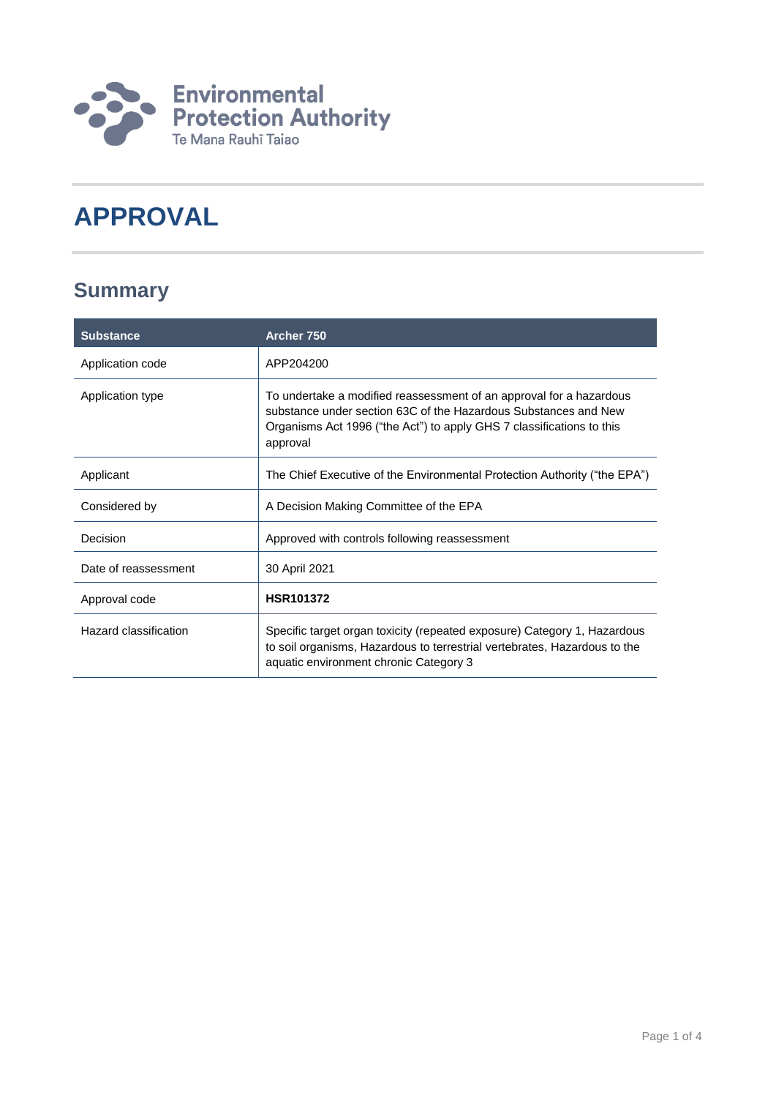

# **APPROVAL**

### **Summary**

| <b>Substance</b>      | Archer 750                                                                                                                                                                                                                  |
|-----------------------|-----------------------------------------------------------------------------------------------------------------------------------------------------------------------------------------------------------------------------|
| Application code      | APP204200                                                                                                                                                                                                                   |
| Application type      | To undertake a modified reassessment of an approval for a hazardous<br>substance under section 63C of the Hazardous Substances and New<br>Organisms Act 1996 ("the Act") to apply GHS 7 classifications to this<br>approval |
| Applicant             | The Chief Executive of the Environmental Protection Authority ("the EPA")                                                                                                                                                   |
| Considered by         | A Decision Making Committee of the EPA                                                                                                                                                                                      |
| Decision              | Approved with controls following reassessment                                                                                                                                                                               |
| Date of reassessment  | 30 April 2021                                                                                                                                                                                                               |
| Approval code         | <b>HSR101372</b>                                                                                                                                                                                                            |
| Hazard classification | Specific target organ toxicity (repeated exposure) Category 1, Hazardous<br>to soil organisms, Hazardous to terrestrial vertebrates, Hazardous to the<br>aquatic environment chronic Category 3                             |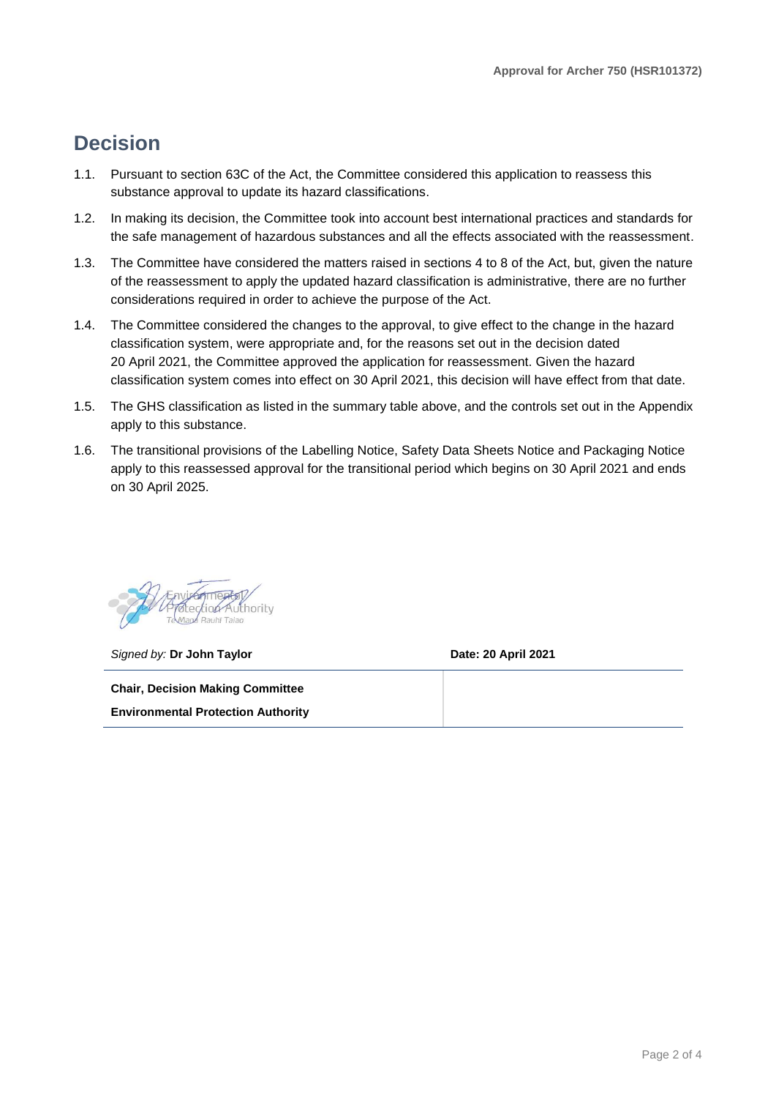### **Decision**

- 1.1. Pursuant to section 63C of the Act, the Committee considered this application to reassess this substance approval to update its hazard classifications.
- 1.2. In making its decision, the Committee took into account best international practices and standards for the safe management of hazardous substances and all the effects associated with the reassessment.
- 1.3. The Committee have considered the matters raised in sections 4 to 8 of the Act, but, given the nature of the reassessment to apply the updated hazard classification is administrative, there are no further considerations required in order to achieve the purpose of the Act.
- 1.4. The Committee considered the changes to the approval, to give effect to the change in the hazard classification system, were appropriate and, for the reasons set out in the decision dated 20 April 2021, the Committee approved the application for reassessment. Given the hazard classification system comes into effect on 30 April 2021, this decision will have effect from that date.
- 1.5. The GHS classification as listed in the summary table above, and the controls set out in the Appendix apply to this substance.
- 1.6. The transitional provisions of the Labelling Notice, Safety Data Sheets Notice and Packaging Notice apply to this reassessed approval for the transitional period which begins on 30 April 2021 and ends on 30 April 2025.

uthority

*Signed by:* **Dr John Taylor Date: 20 April 2021**

**Chair, Decision Making Committee Environmental Protection Authority**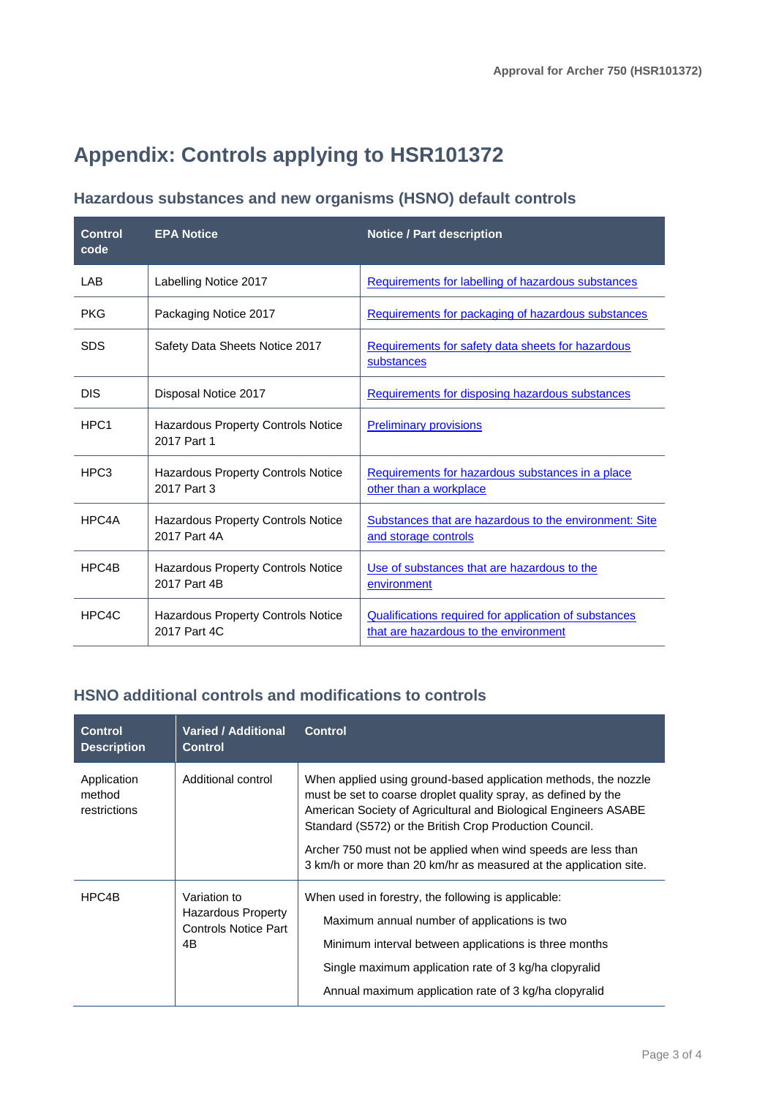## **Appendix: Controls applying to HSR101372**

### **Hazardous substances and new organisms (HSNO) default controls**

| <b>Control</b><br>code | <b>EPA Notice</b>                                         | <b>Notice / Part description</b>                                                               |
|------------------------|-----------------------------------------------------------|------------------------------------------------------------------------------------------------|
| LAB                    | Labelling Notice 2017                                     | Requirements for labelling of hazardous substances                                             |
| <b>PKG</b>             | Packaging Notice 2017                                     | Requirements for packaging of hazardous substances                                             |
| <b>SDS</b>             | Safety Data Sheets Notice 2017                            | Requirements for safety data sheets for hazardous<br>substances                                |
| <b>DIS</b>             | Disposal Notice 2017                                      | Requirements for disposing hazardous substances                                                |
| HPC <sub>1</sub>       | Hazardous Property Controls Notice<br>2017 Part 1         | <b>Preliminary provisions</b>                                                                  |
| HPC <sub>3</sub>       | <b>Hazardous Property Controls Notice</b><br>2017 Part 3  | Requirements for hazardous substances in a place<br>other than a workplace                     |
| HPC4A                  | <b>Hazardous Property Controls Notice</b><br>2017 Part 4A | Substances that are hazardous to the environment: Site<br>and storage controls                 |
| HPC4B                  | Hazardous Property Controls Notice<br>2017 Part 4B        | Use of substances that are hazardous to the<br>environment                                     |
| HPC4C                  | Hazardous Property Controls Notice<br>2017 Part 4C        | Qualifications required for application of substances<br>that are hazardous to the environment |

#### **HSNO additional controls and modifications to controls**

| <b>Control</b><br><b>Description</b>  | <b>Varied / Additional</b><br><b>Control</b>                                   | <b>Control</b>                                                                                                                                                                                                                                                                                                                                                                                        |
|---------------------------------------|--------------------------------------------------------------------------------|-------------------------------------------------------------------------------------------------------------------------------------------------------------------------------------------------------------------------------------------------------------------------------------------------------------------------------------------------------------------------------------------------------|
| Application<br>method<br>restrictions | Additional control                                                             | When applied using ground-based application methods, the nozzle<br>must be set to coarse droplet quality spray, as defined by the<br>American Society of Agricultural and Biological Engineers ASABE<br>Standard (S572) or the British Crop Production Council.<br>Archer 750 must not be applied when wind speeds are less than<br>3 km/h or more than 20 km/hr as measured at the application site. |
| HPC4B                                 | Variation to<br><b>Hazardous Property</b><br><b>Controls Notice Part</b><br>4B | When used in forestry, the following is applicable:<br>Maximum annual number of applications is two<br>Minimum interval between applications is three months<br>Single maximum application rate of 3 kg/ha clopyralid<br>Annual maximum application rate of 3 kg/ha clopyralid                                                                                                                        |